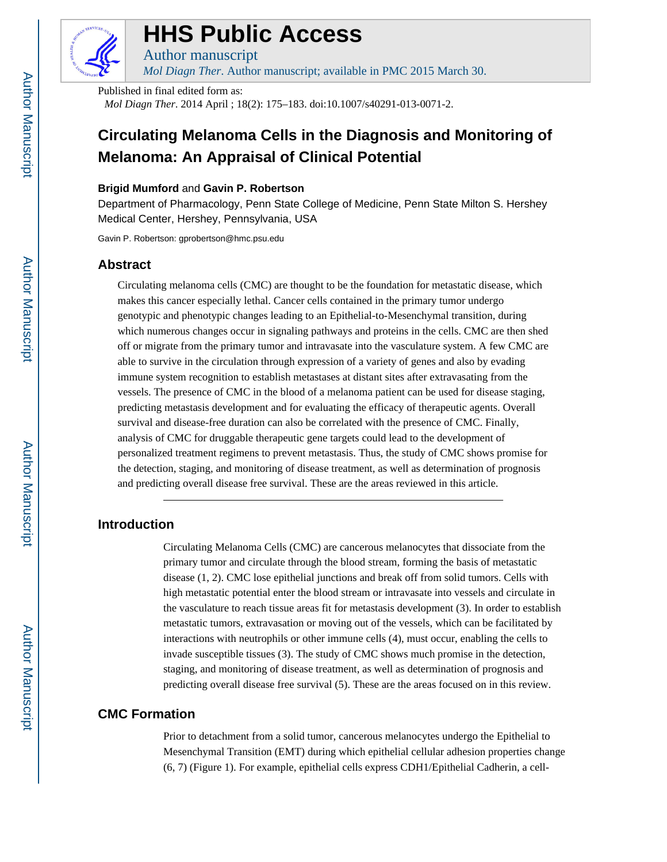

# **HHS Public Access**

Author manuscript *Mol Diagn Ther*. Author manuscript; available in PMC 2015 March 30.

Published in final edited form as: *Mol Diagn Ther*. 2014 April ; 18(2): 175–183. doi:10.1007/s40291-013-0071-2.

# **Circulating Melanoma Cells in the Diagnosis and Monitoring of Melanoma: An Appraisal of Clinical Potential**

#### **Brigid Mumford** and **Gavin P. Robertson**

Department of Pharmacology, Penn State College of Medicine, Penn State Milton S. Hershey Medical Center, Hershey, Pennsylvania, USA

Gavin P. Robertson: gprobertson@hmc.psu.edu

# **Abstract**

Circulating melanoma cells (CMC) are thought to be the foundation for metastatic disease, which makes this cancer especially lethal. Cancer cells contained in the primary tumor undergo genotypic and phenotypic changes leading to an Epithelial-to-Mesenchymal transition, during which numerous changes occur in signaling pathways and proteins in the cells. CMC are then shed off or migrate from the primary tumor and intravasate into the vasculature system. A few CMC are able to survive in the circulation through expression of a variety of genes and also by evading immune system recognition to establish metastases at distant sites after extravasating from the vessels. The presence of CMC in the blood of a melanoma patient can be used for disease staging, predicting metastasis development and for evaluating the efficacy of therapeutic agents. Overall survival and disease-free duration can also be correlated with the presence of CMC. Finally, analysis of CMC for druggable therapeutic gene targets could lead to the development of personalized treatment regimens to prevent metastasis. Thus, the study of CMC shows promise for the detection, staging, and monitoring of disease treatment, as well as determination of prognosis and predicting overall disease free survival. These are the areas reviewed in this article.

# **Introduction**

Circulating Melanoma Cells (CMC) are cancerous melanocytes that dissociate from the primary tumor and circulate through the blood stream, forming the basis of metastatic disease (1, 2). CMC lose epithelial junctions and break off from solid tumors. Cells with high metastatic potential enter the blood stream or intravasate into vessels and circulate in the vasculature to reach tissue areas fit for metastasis development (3). In order to establish metastatic tumors, extravasation or moving out of the vessels, which can be facilitated by interactions with neutrophils or other immune cells (4), must occur, enabling the cells to invade susceptible tissues (3). The study of CMC shows much promise in the detection, staging, and monitoring of disease treatment, as well as determination of prognosis and predicting overall disease free survival (5). These are the areas focused on in this review.

# **CMC Formation**

Prior to detachment from a solid tumor, cancerous melanocytes undergo the Epithelial to Mesenchymal Transition (EMT) during which epithelial cellular adhesion properties change (6, 7) (Figure 1). For example, epithelial cells express CDH1/Epithelial Cadherin, a cell-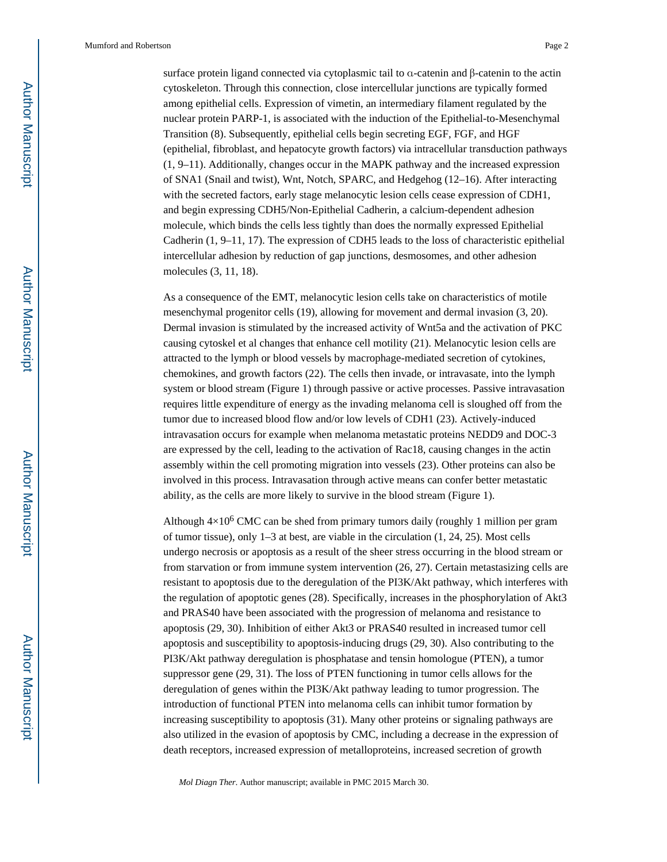surface protein ligand connected via cytoplasmic tail to α-catenin and β-catenin to the actin cytoskeleton. Through this connection, close intercellular junctions are typically formed among epithelial cells. Expression of vimetin, an intermediary filament regulated by the nuclear protein PARP-1, is associated with the induction of the Epithelial-to-Mesenchymal Transition (8). Subsequently, epithelial cells begin secreting EGF, FGF, and HGF (epithelial, fibroblast, and hepatocyte growth factors) via intracellular transduction pathways (1, 9–11). Additionally, changes occur in the MAPK pathway and the increased expression of SNA1 (Snail and twist), Wnt, Notch, SPARC, and Hedgehog (12–16). After interacting with the secreted factors, early stage melanocytic lesion cells cease expression of CDH1, and begin expressing CDH5/Non-Epithelial Cadherin, a calcium-dependent adhesion molecule, which binds the cells less tightly than does the normally expressed Epithelial Cadherin (1, 9–11, 17). The expression of CDH5 leads to the loss of characteristic epithelial intercellular adhesion by reduction of gap junctions, desmosomes, and other adhesion molecules (3, 11, 18).

As a consequence of the EMT, melanocytic lesion cells take on characteristics of motile mesenchymal progenitor cells (19), allowing for movement and dermal invasion (3, 20). Dermal invasion is stimulated by the increased activity of Wnt5a and the activation of PKC causing cytoskel et al changes that enhance cell motility (21). Melanocytic lesion cells are attracted to the lymph or blood vessels by macrophage-mediated secretion of cytokines, chemokines, and growth factors (22). The cells then invade, or intravasate, into the lymph system or blood stream (Figure 1) through passive or active processes. Passive intravasation requires little expenditure of energy as the invading melanoma cell is sloughed off from the tumor due to increased blood flow and/or low levels of CDH1 (23). Actively-induced intravasation occurs for example when melanoma metastatic proteins NEDD9 and DOC-3 are expressed by the cell, leading to the activation of Rac18, causing changes in the actin assembly within the cell promoting migration into vessels (23). Other proteins can also be involved in this process. Intravasation through active means can confer better metastatic ability, as the cells are more likely to survive in the blood stream (Figure 1).

Although  $4\times10^6$  CMC can be shed from primary tumors daily (roughly 1 million per gram of tumor tissue), only 1–3 at best, are viable in the circulation (1, 24, 25). Most cells undergo necrosis or apoptosis as a result of the sheer stress occurring in the blood stream or from starvation or from immune system intervention (26, 27). Certain metastasizing cells are resistant to apoptosis due to the deregulation of the PI3K/Akt pathway, which interferes with the regulation of apoptotic genes (28). Specifically, increases in the phosphorylation of Akt3 and PRAS40 have been associated with the progression of melanoma and resistance to apoptosis (29, 30). Inhibition of either Akt3 or PRAS40 resulted in increased tumor cell apoptosis and susceptibility to apoptosis-inducing drugs (29, 30). Also contributing to the PI3K/Akt pathway deregulation is phosphatase and tensin homologue (PTEN), a tumor suppressor gene (29, 31). The loss of PTEN functioning in tumor cells allows for the deregulation of genes within the PI3K/Akt pathway leading to tumor progression. The introduction of functional PTEN into melanoma cells can inhibit tumor formation by increasing susceptibility to apoptosis (31). Many other proteins or signaling pathways are also utilized in the evasion of apoptosis by CMC, including a decrease in the expression of death receptors, increased expression of metalloproteins, increased secretion of growth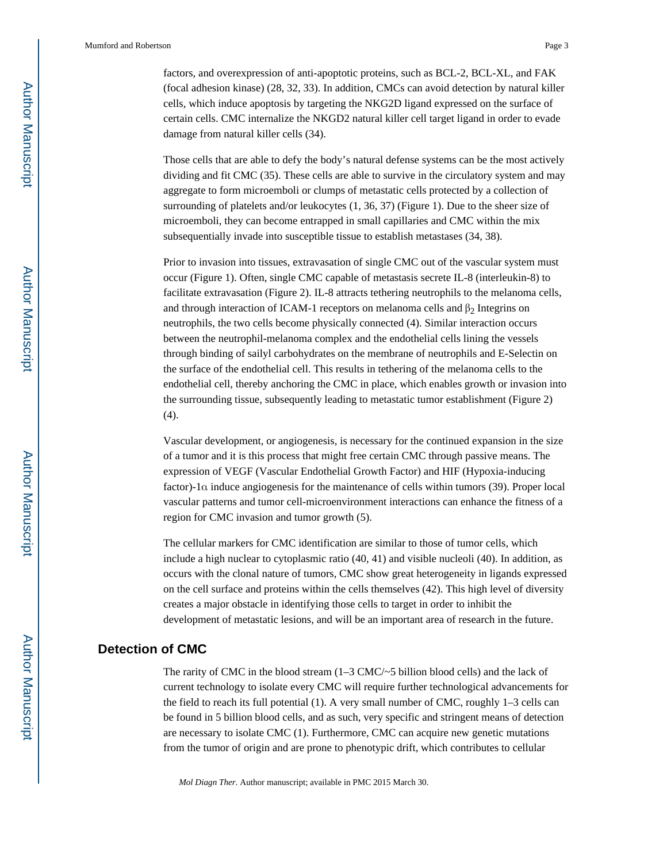factors, and overexpression of anti-apoptotic proteins, such as BCL-2, BCL-XL, and FAK (focal adhesion kinase) (28, 32, 33). In addition, CMCs can avoid detection by natural killer cells, which induce apoptosis by targeting the NKG2D ligand expressed on the surface of certain cells. CMC internalize the NKGD2 natural killer cell target ligand in order to evade damage from natural killer cells (34).

Those cells that are able to defy the body's natural defense systems can be the most actively dividing and fit CMC (35). These cells are able to survive in the circulatory system and may aggregate to form microemboli or clumps of metastatic cells protected by a collection of surrounding of platelets and/or leukocytes (1, 36, 37) (Figure 1). Due to the sheer size of microemboli, they can become entrapped in small capillaries and CMC within the mix subsequentially invade into susceptible tissue to establish metastases (34, 38).

Prior to invasion into tissues, extravasation of single CMC out of the vascular system must occur (Figure 1). Often, single CMC capable of metastasis secrete IL-8 (interleukin-8) to facilitate extravasation (Figure 2). IL-8 attracts tethering neutrophils to the melanoma cells, and through interaction of ICAM-1 receptors on melanoma cells and  $\beta_2$  Integrins on neutrophils, the two cells become physically connected (4). Similar interaction occurs between the neutrophil-melanoma complex and the endothelial cells lining the vessels through binding of sailyl carbohydrates on the membrane of neutrophils and E-Selectin on the surface of the endothelial cell. This results in tethering of the melanoma cells to the endothelial cell, thereby anchoring the CMC in place, which enables growth or invasion into the surrounding tissue, subsequently leading to metastatic tumor establishment (Figure 2)  $(4)$ .

Vascular development, or angiogenesis, is necessary for the continued expansion in the size of a tumor and it is this process that might free certain CMC through passive means. The expression of VEGF (Vascular Endothelial Growth Factor) and HIF (Hypoxia-inducing factor)-1α induce angiogenesis for the maintenance of cells within tumors (39). Proper local vascular patterns and tumor cell-microenvironment interactions can enhance the fitness of a region for CMC invasion and tumor growth (5).

The cellular markers for CMC identification are similar to those of tumor cells, which include a high nuclear to cytoplasmic ratio (40, 41) and visible nucleoli (40). In addition, as occurs with the clonal nature of tumors, CMC show great heterogeneity in ligands expressed on the cell surface and proteins within the cells themselves (42). This high level of diversity creates a major obstacle in identifying those cells to target in order to inhibit the development of metastatic lesions, and will be an important area of research in the future.

# **Detection of CMC**

The rarity of CMC in the blood stream  $(1-3 \text{ CMC}/25 \text{ billion blood cells})$  and the lack of current technology to isolate every CMC will require further technological advancements for the field to reach its full potential (1). A very small number of CMC, roughly 1–3 cells can be found in 5 billion blood cells, and as such, very specific and stringent means of detection are necessary to isolate CMC (1). Furthermore, CMC can acquire new genetic mutations from the tumor of origin and are prone to phenotypic drift, which contributes to cellular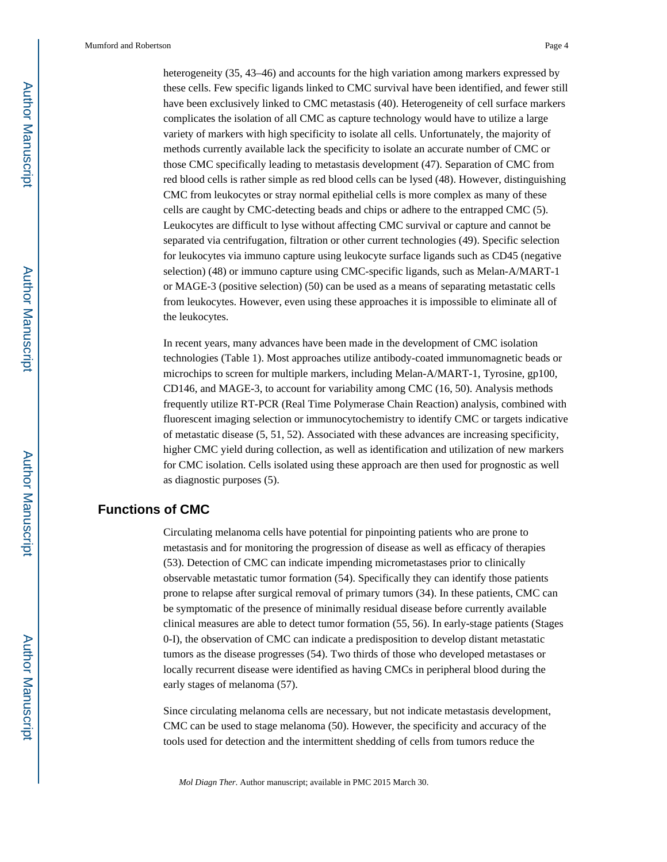heterogeneity (35, 43–46) and accounts for the high variation among markers expressed by these cells. Few specific ligands linked to CMC survival have been identified, and fewer still have been exclusively linked to CMC metastasis (40). Heterogeneity of cell surface markers complicates the isolation of all CMC as capture technology would have to utilize a large variety of markers with high specificity to isolate all cells. Unfortunately, the majority of methods currently available lack the specificity to isolate an accurate number of CMC or those CMC specifically leading to metastasis development (47). Separation of CMC from red blood cells is rather simple as red blood cells can be lysed (48). However, distinguishing CMC from leukocytes or stray normal epithelial cells is more complex as many of these cells are caught by CMC-detecting beads and chips or adhere to the entrapped CMC (5). Leukocytes are difficult to lyse without affecting CMC survival or capture and cannot be separated via centrifugation, filtration or other current technologies (49). Specific selection for leukocytes via immuno capture using leukocyte surface ligands such as CD45 (negative selection) (48) or immuno capture using CMC-specific ligands, such as Melan-A/MART-1 or MAGE-3 (positive selection) (50) can be used as a means of separating metastatic cells from leukocytes. However, even using these approaches it is impossible to eliminate all of the leukocytes.

In recent years, many advances have been made in the development of CMC isolation technologies (Table 1). Most approaches utilize antibody-coated immunomagnetic beads or microchips to screen for multiple markers, including Melan-A/MART-1, Tyrosine, gp100, CD146, and MAGE-3, to account for variability among CMC (16, 50). Analysis methods frequently utilize RT-PCR (Real Time Polymerase Chain Reaction) analysis, combined with fluorescent imaging selection or immunocytochemistry to identify CMC or targets indicative of metastatic disease (5, 51, 52). Associated with these advances are increasing specificity, higher CMC yield during collection, as well as identification and utilization of new markers for CMC isolation. Cells isolated using these approach are then used for prognostic as well as diagnostic purposes (5).

# **Functions of CMC**

Circulating melanoma cells have potential for pinpointing patients who are prone to metastasis and for monitoring the progression of disease as well as efficacy of therapies (53). Detection of CMC can indicate impending micrometastases prior to clinically observable metastatic tumor formation (54). Specifically they can identify those patients prone to relapse after surgical removal of primary tumors (34). In these patients, CMC can be symptomatic of the presence of minimally residual disease before currently available clinical measures are able to detect tumor formation (55, 56). In early-stage patients (Stages 0-I), the observation of CMC can indicate a predisposition to develop distant metastatic tumors as the disease progresses (54). Two thirds of those who developed metastases or locally recurrent disease were identified as having CMCs in peripheral blood during the early stages of melanoma (57).

Since circulating melanoma cells are necessary, but not indicate metastasis development, CMC can be used to stage melanoma (50). However, the specificity and accuracy of the tools used for detection and the intermittent shedding of cells from tumors reduce the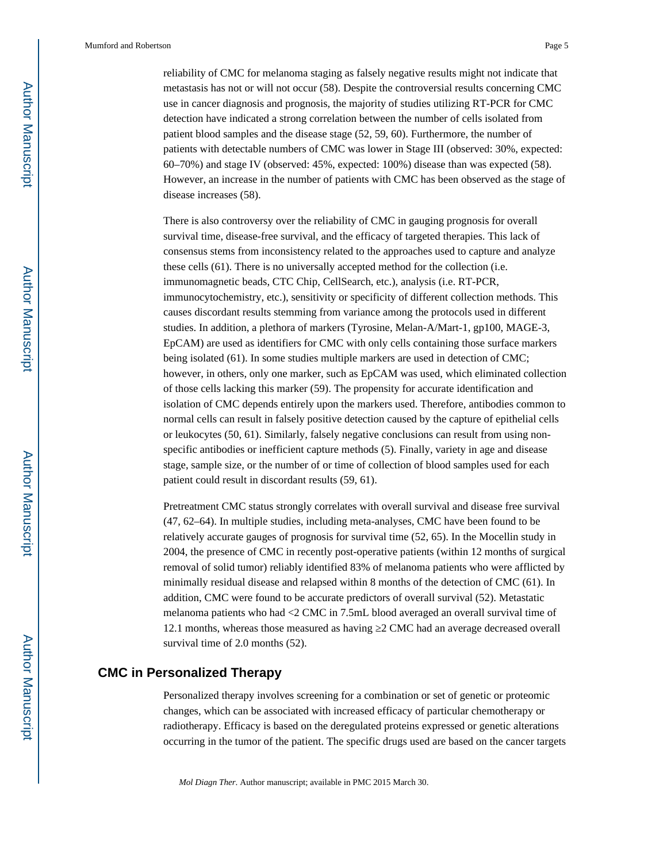reliability of CMC for melanoma staging as falsely negative results might not indicate that metastasis has not or will not occur (58). Despite the controversial results concerning CMC use in cancer diagnosis and prognosis, the majority of studies utilizing RT-PCR for CMC detection have indicated a strong correlation between the number of cells isolated from patient blood samples and the disease stage (52, 59, 60). Furthermore, the number of patients with detectable numbers of CMC was lower in Stage III (observed: 30%, expected: 60–70%) and stage IV (observed: 45%, expected: 100%) disease than was expected (58). However, an increase in the number of patients with CMC has been observed as the stage of disease increases (58).

There is also controversy over the reliability of CMC in gauging prognosis for overall survival time, disease-free survival, and the efficacy of targeted therapies. This lack of consensus stems from inconsistency related to the approaches used to capture and analyze these cells (61). There is no universally accepted method for the collection (i.e. immunomagnetic beads, CTC Chip, CellSearch, etc.), analysis (i.e. RT-PCR, immunocytochemistry, etc.), sensitivity or specificity of different collection methods. This causes discordant results stemming from variance among the protocols used in different studies. In addition, a plethora of markers (Tyrosine, Melan-A/Mart-1, gp100, MAGE-3, EpCAM) are used as identifiers for CMC with only cells containing those surface markers being isolated (61). In some studies multiple markers are used in detection of CMC; however, in others, only one marker, such as EpCAM was used, which eliminated collection of those cells lacking this marker (59). The propensity for accurate identification and isolation of CMC depends entirely upon the markers used. Therefore, antibodies common to normal cells can result in falsely positive detection caused by the capture of epithelial cells or leukocytes (50, 61). Similarly, falsely negative conclusions can result from using nonspecific antibodies or inefficient capture methods (5). Finally, variety in age and disease stage, sample size, or the number of or time of collection of blood samples used for each patient could result in discordant results (59, 61).

Pretreatment CMC status strongly correlates with overall survival and disease free survival (47, 62–64). In multiple studies, including meta-analyses, CMC have been found to be relatively accurate gauges of prognosis for survival time (52, 65). In the Mocellin study in 2004, the presence of CMC in recently post-operative patients (within 12 months of surgical removal of solid tumor) reliably identified 83% of melanoma patients who were afflicted by minimally residual disease and relapsed within 8 months of the detection of CMC (61). In addition, CMC were found to be accurate predictors of overall survival (52). Metastatic melanoma patients who had <2 CMC in 7.5mL blood averaged an overall survival time of 12.1 months, whereas those measured as having 2 CMC had an average decreased overall survival time of 2.0 months (52).

## **CMC in Personalized Therapy**

Personalized therapy involves screening for a combination or set of genetic or proteomic changes, which can be associated with increased efficacy of particular chemotherapy or radiotherapy. Efficacy is based on the deregulated proteins expressed or genetic alterations occurring in the tumor of the patient. The specific drugs used are based on the cancer targets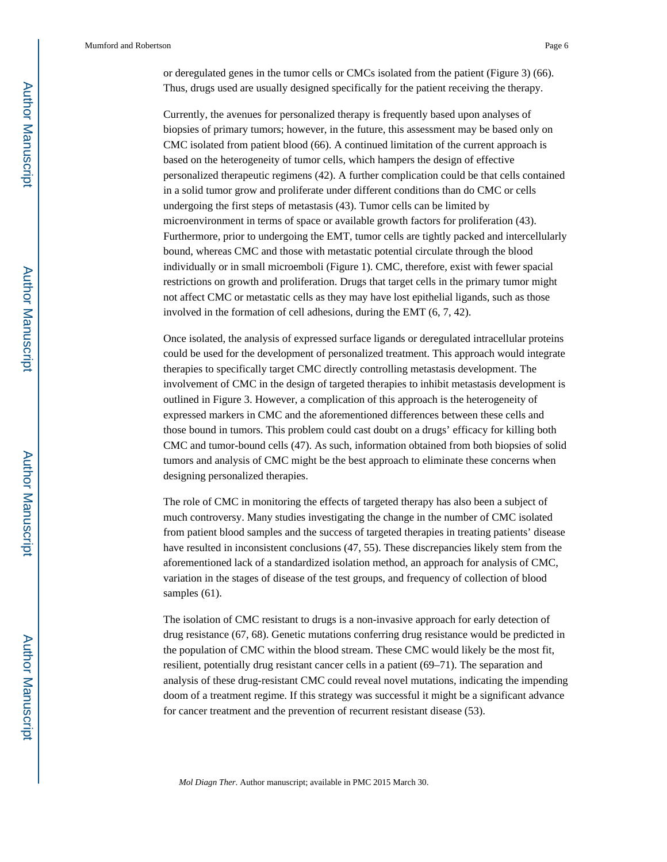or deregulated genes in the tumor cells or CMCs isolated from the patient (Figure 3) (66). Thus, drugs used are usually designed specifically for the patient receiving the therapy.

Currently, the avenues for personalized therapy is frequently based upon analyses of biopsies of primary tumors; however, in the future, this assessment may be based only on CMC isolated from patient blood (66). A continued limitation of the current approach is based on the heterogeneity of tumor cells, which hampers the design of effective personalized therapeutic regimens (42). A further complication could be that cells contained in a solid tumor grow and proliferate under different conditions than do CMC or cells undergoing the first steps of metastasis (43). Tumor cells can be limited by microenvironment in terms of space or available growth factors for proliferation (43). Furthermore, prior to undergoing the EMT, tumor cells are tightly packed and intercellularly bound, whereas CMC and those with metastatic potential circulate through the blood individually or in small microemboli (Figure 1). CMC, therefore, exist with fewer spacial restrictions on growth and proliferation. Drugs that target cells in the primary tumor might not affect CMC or metastatic cells as they may have lost epithelial ligands, such as those involved in the formation of cell adhesions, during the EMT (6, 7, 42).

Once isolated, the analysis of expressed surface ligands or deregulated intracellular proteins could be used for the development of personalized treatment. This approach would integrate therapies to specifically target CMC directly controlling metastasis development. The involvement of CMC in the design of targeted therapies to inhibit metastasis development is outlined in Figure 3. However, a complication of this approach is the heterogeneity of expressed markers in CMC and the aforementioned differences between these cells and those bound in tumors. This problem could cast doubt on a drugs' efficacy for killing both CMC and tumor-bound cells (47). As such, information obtained from both biopsies of solid tumors and analysis of CMC might be the best approach to eliminate these concerns when designing personalized therapies.

The role of CMC in monitoring the effects of targeted therapy has also been a subject of much controversy. Many studies investigating the change in the number of CMC isolated from patient blood samples and the success of targeted therapies in treating patients' disease have resulted in inconsistent conclusions (47, 55). These discrepancies likely stem from the aforementioned lack of a standardized isolation method, an approach for analysis of CMC, variation in the stages of disease of the test groups, and frequency of collection of blood samples (61).

The isolation of CMC resistant to drugs is a non-invasive approach for early detection of drug resistance (67, 68). Genetic mutations conferring drug resistance would be predicted in the population of CMC within the blood stream. These CMC would likely be the most fit, resilient, potentially drug resistant cancer cells in a patient (69–71). The separation and analysis of these drug-resistant CMC could reveal novel mutations, indicating the impending doom of a treatment regime. If this strategy was successful it might be a significant advance for cancer treatment and the prevention of recurrent resistant disease (53).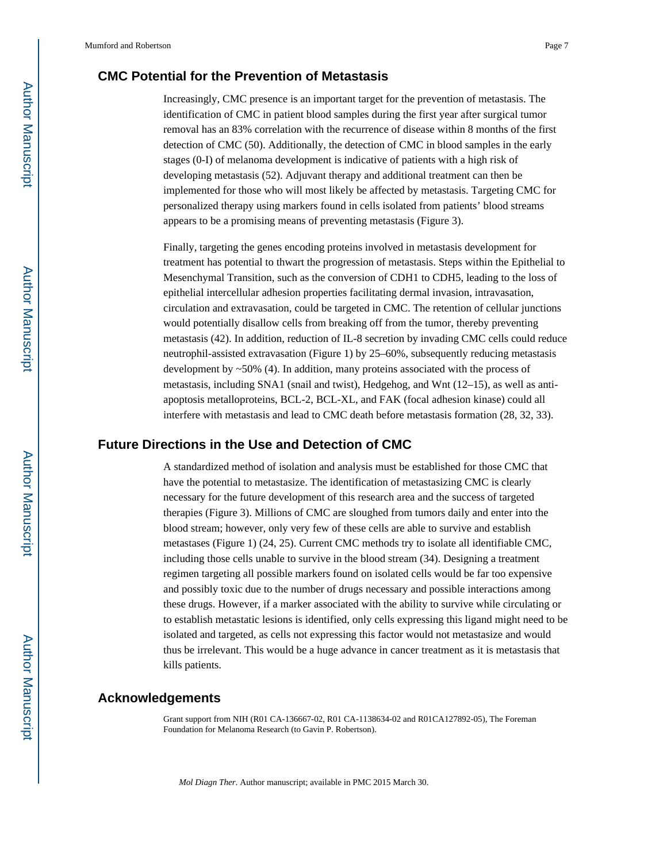# **CMC Potential for the Prevention of Metastasis**

Increasingly, CMC presence is an important target for the prevention of metastasis. The identification of CMC in patient blood samples during the first year after surgical tumor removal has an 83% correlation with the recurrence of disease within 8 months of the first detection of CMC (50). Additionally, the detection of CMC in blood samples in the early stages (0-I) of melanoma development is indicative of patients with a high risk of developing metastasis (52). Adjuvant therapy and additional treatment can then be implemented for those who will most likely be affected by metastasis. Targeting CMC for personalized therapy using markers found in cells isolated from patients' blood streams appears to be a promising means of preventing metastasis (Figure 3).

Finally, targeting the genes encoding proteins involved in metastasis development for treatment has potential to thwart the progression of metastasis. Steps within the Epithelial to Mesenchymal Transition, such as the conversion of CDH1 to CDH5, leading to the loss of epithelial intercellular adhesion properties facilitating dermal invasion, intravasation, circulation and extravasation, could be targeted in CMC. The retention of cellular junctions would potentially disallow cells from breaking off from the tumor, thereby preventing metastasis (42). In addition, reduction of IL-8 secretion by invading CMC cells could reduce neutrophil-assisted extravasation (Figure 1) by 25–60%, subsequently reducing metastasis development by  $\sim$  50% (4). In addition, many proteins associated with the process of metastasis, including SNA1 (snail and twist), Hedgehog, and Wnt (12–15), as well as antiapoptosis metalloproteins, BCL-2, BCL-XL, and FAK (focal adhesion kinase) could all interfere with metastasis and lead to CMC death before metastasis formation (28, 32, 33).

## **Future Directions in the Use and Detection of CMC**

A standardized method of isolation and analysis must be established for those CMC that have the potential to metastasize. The identification of metastasizing CMC is clearly necessary for the future development of this research area and the success of targeted therapies (Figure 3). Millions of CMC are sloughed from tumors daily and enter into the blood stream; however, only very few of these cells are able to survive and establish metastases (Figure 1) (24, 25). Current CMC methods try to isolate all identifiable CMC, including those cells unable to survive in the blood stream (34). Designing a treatment regimen targeting all possible markers found on isolated cells would be far too expensive and possibly toxic due to the number of drugs necessary and possible interactions among these drugs. However, if a marker associated with the ability to survive while circulating or to establish metastatic lesions is identified, only cells expressing this ligand might need to be isolated and targeted, as cells not expressing this factor would not metastasize and would thus be irrelevant. This would be a huge advance in cancer treatment as it is metastasis that kills patients.

### **Acknowledgements**

Grant support from NIH (R01 CA-136667-02, R01 CA-1138634-02 and R01CA127892-05), The Foreman Foundation for Melanoma Research (to Gavin P. Robertson).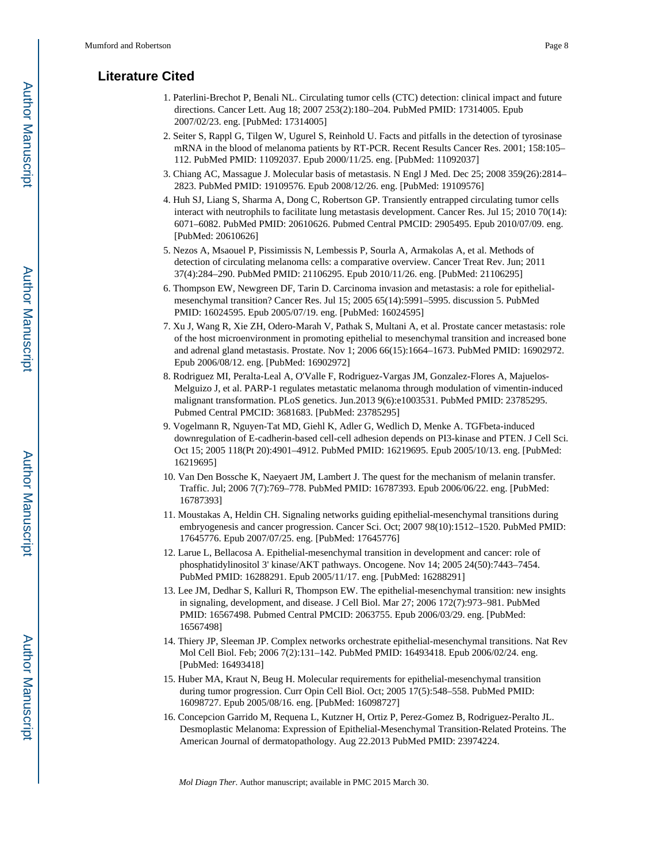# **Literature Cited**

- 1. Paterlini-Brechot P, Benali NL. Circulating tumor cells (CTC) detection: clinical impact and future directions. Cancer Lett. Aug 18; 2007 253(2):180–204. PubMed PMID: 17314005. Epub 2007/02/23. eng. [PubMed: 17314005]
- 2. Seiter S, Rappl G, Tilgen W, Ugurel S, Reinhold U. Facts and pitfalls in the detection of tyrosinase mRNA in the blood of melanoma patients by RT-PCR. Recent Results Cancer Res. 2001; 158:105– 112. PubMed PMID: 11092037. Epub 2000/11/25. eng. [PubMed: 11092037]
- 3. Chiang AC, Massague J. Molecular basis of metastasis. N Engl J Med. Dec 25; 2008 359(26):2814– 2823. PubMed PMID: 19109576. Epub 2008/12/26. eng. [PubMed: 19109576]
- 4. Huh SJ, Liang S, Sharma A, Dong C, Robertson GP. Transiently entrapped circulating tumor cells interact with neutrophils to facilitate lung metastasis development. Cancer Res. Jul 15; 2010 70(14): 6071–6082. PubMed PMID: 20610626. Pubmed Central PMCID: 2905495. Epub 2010/07/09. eng. [PubMed: 20610626]
- 5. Nezos A, Msaouel P, Pissimissis N, Lembessis P, Sourla A, Armakolas A, et al. Methods of detection of circulating melanoma cells: a comparative overview. Cancer Treat Rev. Jun; 2011 37(4):284–290. PubMed PMID: 21106295. Epub 2010/11/26. eng. [PubMed: 21106295]
- 6. Thompson EW, Newgreen DF, Tarin D. Carcinoma invasion and metastasis: a role for epithelialmesenchymal transition? Cancer Res. Jul 15; 2005 65(14):5991–5995. discussion 5. PubMed PMID: 16024595. Epub 2005/07/19. eng. [PubMed: 16024595]
- 7. Xu J, Wang R, Xie ZH, Odero-Marah V, Pathak S, Multani A, et al. Prostate cancer metastasis: role of the host microenvironment in promoting epithelial to mesenchymal transition and increased bone and adrenal gland metastasis. Prostate. Nov 1; 2006 66(15):1664–1673. PubMed PMID: 16902972. Epub 2006/08/12. eng. [PubMed: 16902972]
- 8. Rodriguez MI, Peralta-Leal A, O'Valle F, Rodriguez-Vargas JM, Gonzalez-Flores A, Majuelos-Melguizo J, et al. PARP-1 regulates metastatic melanoma through modulation of vimentin-induced malignant transformation. PLoS genetics. Jun.2013 9(6):e1003531. PubMed PMID: 23785295. Pubmed Central PMCID: 3681683. [PubMed: 23785295]
- 9. Vogelmann R, Nguyen-Tat MD, Giehl K, Adler G, Wedlich D, Menke A. TGFbeta-induced downregulation of E-cadherin-based cell-cell adhesion depends on PI3-kinase and PTEN. J Cell Sci. Oct 15; 2005 118(Pt 20):4901–4912. PubMed PMID: 16219695. Epub 2005/10/13. eng. [PubMed: 16219695]
- 10. Van Den Bossche K, Naeyaert JM, Lambert J. The quest for the mechanism of melanin transfer. Traffic. Jul; 2006 7(7):769–778. PubMed PMID: 16787393. Epub 2006/06/22. eng. [PubMed: 16787393]
- 11. Moustakas A, Heldin CH. Signaling networks guiding epithelial-mesenchymal transitions during embryogenesis and cancer progression. Cancer Sci. Oct; 2007 98(10):1512–1520. PubMed PMID: 17645776. Epub 2007/07/25. eng. [PubMed: 17645776]
- 12. Larue L, Bellacosa A. Epithelial-mesenchymal transition in development and cancer: role of phosphatidylinositol 3' kinase/AKT pathways. Oncogene. Nov 14; 2005 24(50):7443–7454. PubMed PMID: 16288291. Epub 2005/11/17. eng. [PubMed: 16288291]
- 13. Lee JM, Dedhar S, Kalluri R, Thompson EW. The epithelial-mesenchymal transition: new insights in signaling, development, and disease. J Cell Biol. Mar 27; 2006 172(7):973–981. PubMed PMID: 16567498. Pubmed Central PMCID: 2063755. Epub 2006/03/29. eng. [PubMed: 16567498]
- 14. Thiery JP, Sleeman JP. Complex networks orchestrate epithelial-mesenchymal transitions. Nat Rev Mol Cell Biol. Feb; 2006 7(2):131–142. PubMed PMID: 16493418. Epub 2006/02/24. eng. [PubMed: 16493418]
- 15. Huber MA, Kraut N, Beug H. Molecular requirements for epithelial-mesenchymal transition during tumor progression. Curr Opin Cell Biol. Oct; 2005 17(5):548–558. PubMed PMID: 16098727. Epub 2005/08/16. eng. [PubMed: 16098727]
- 16. Concepcion Garrido M, Requena L, Kutzner H, Ortiz P, Perez-Gomez B, Rodriguez-Peralto JL. Desmoplastic Melanoma: Expression of Epithelial-Mesenchymal Transition-Related Proteins. The American Journal of dermatopathology. Aug 22.2013 PubMed PMID: 23974224.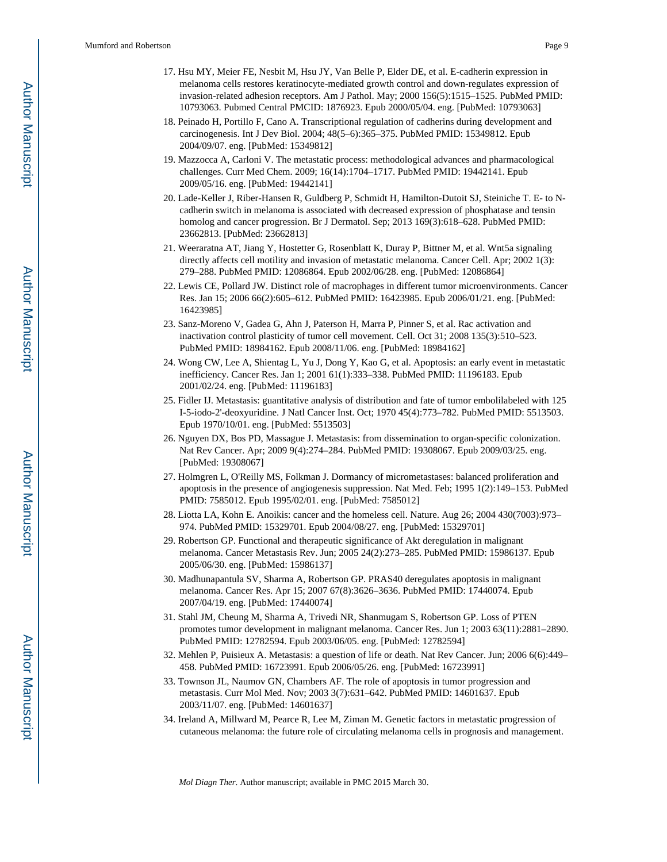- 17. Hsu MY, Meier FE, Nesbit M, Hsu JY, Van Belle P, Elder DE, et al. E-cadherin expression in melanoma cells restores keratinocyte-mediated growth control and down-regulates expression of invasion-related adhesion receptors. Am J Pathol. May; 2000 156(5):1515–1525. PubMed PMID: 10793063. Pubmed Central PMCID: 1876923. Epub 2000/05/04. eng. [PubMed: 10793063]
- 18. Peinado H, Portillo F, Cano A. Transcriptional regulation of cadherins during development and carcinogenesis. Int J Dev Biol. 2004; 48(5–6):365–375. PubMed PMID: 15349812. Epub 2004/09/07. eng. [PubMed: 15349812]
- 19. Mazzocca A, Carloni V. The metastatic process: methodological advances and pharmacological challenges. Curr Med Chem. 2009; 16(14):1704–1717. PubMed PMID: 19442141. Epub 2009/05/16. eng. [PubMed: 19442141]
- 20. Lade-Keller J, Riber-Hansen R, Guldberg P, Schmidt H, Hamilton-Dutoit SJ, Steiniche T. E- to Ncadherin switch in melanoma is associated with decreased expression of phosphatase and tensin homolog and cancer progression. Br J Dermatol. Sep; 2013 169(3):618–628. PubMed PMID: 23662813. [PubMed: 23662813]
- 21. Weeraratna AT, Jiang Y, Hostetter G, Rosenblatt K, Duray P, Bittner M, et al. Wnt5a signaling directly affects cell motility and invasion of metastatic melanoma. Cancer Cell. Apr; 2002 1(3): 279–288. PubMed PMID: 12086864. Epub 2002/06/28. eng. [PubMed: 12086864]
- 22. Lewis CE, Pollard JW. Distinct role of macrophages in different tumor microenvironments. Cancer Res. Jan 15; 2006 66(2):605–612. PubMed PMID: 16423985. Epub 2006/01/21. eng. [PubMed: 16423985]
- 23. Sanz-Moreno V, Gadea G, Ahn J, Paterson H, Marra P, Pinner S, et al. Rac activation and inactivation control plasticity of tumor cell movement. Cell. Oct 31; 2008 135(3):510–523. PubMed PMID: 18984162. Epub 2008/11/06. eng. [PubMed: 18984162]
- 24. Wong CW, Lee A, Shientag L, Yu J, Dong Y, Kao G, et al. Apoptosis: an early event in metastatic inefficiency. Cancer Res. Jan 1; 2001 61(1):333–338. PubMed PMID: 11196183. Epub 2001/02/24. eng. [PubMed: 11196183]
- 25. Fidler IJ. Metastasis: guantitative analysis of distribution and fate of tumor embolilabeled with 125 I-5-iodo-2'-deoxyuridine. J Natl Cancer Inst. Oct; 1970 45(4):773–782. PubMed PMID: 5513503. Epub 1970/10/01. eng. [PubMed: 5513503]
- 26. Nguyen DX, Bos PD, Massague J. Metastasis: from dissemination to organ-specific colonization. Nat Rev Cancer. Apr; 2009 9(4):274–284. PubMed PMID: 19308067. Epub 2009/03/25. eng. [PubMed: 19308067]
- 27. Holmgren L, O'Reilly MS, Folkman J. Dormancy of micrometastases: balanced proliferation and apoptosis in the presence of angiogenesis suppression. Nat Med. Feb; 1995 1(2):149–153. PubMed PMID: 7585012. Epub 1995/02/01. eng. [PubMed: 7585012]
- 28. Liotta LA, Kohn E. Anoikis: cancer and the homeless cell. Nature. Aug 26; 2004 430(7003):973– 974. PubMed PMID: 15329701. Epub 2004/08/27. eng. [PubMed: 15329701]
- 29. Robertson GP. Functional and therapeutic significance of Akt deregulation in malignant melanoma. Cancer Metastasis Rev. Jun; 2005 24(2):273–285. PubMed PMID: 15986137. Epub 2005/06/30. eng. [PubMed: 15986137]
- 30. Madhunapantula SV, Sharma A, Robertson GP. PRAS40 deregulates apoptosis in malignant melanoma. Cancer Res. Apr 15; 2007 67(8):3626–3636. PubMed PMID: 17440074. Epub 2007/04/19. eng. [PubMed: 17440074]
- 31. Stahl JM, Cheung M, Sharma A, Trivedi NR, Shanmugam S, Robertson GP. Loss of PTEN promotes tumor development in malignant melanoma. Cancer Res. Jun 1; 2003 63(11):2881–2890. PubMed PMID: 12782594. Epub 2003/06/05. eng. [PubMed: 12782594]
- 32. Mehlen P, Puisieux A. Metastasis: a question of life or death. Nat Rev Cancer. Jun; 2006 6(6):449– 458. PubMed PMID: 16723991. Epub 2006/05/26. eng. [PubMed: 16723991]
- 33. Townson JL, Naumov GN, Chambers AF. The role of apoptosis in tumor progression and metastasis. Curr Mol Med. Nov; 2003 3(7):631–642. PubMed PMID: 14601637. Epub 2003/11/07. eng. [PubMed: 14601637]
- 34. Ireland A, Millward M, Pearce R, Lee M, Ziman M. Genetic factors in metastatic progression of cutaneous melanoma: the future role of circulating melanoma cells in prognosis and management.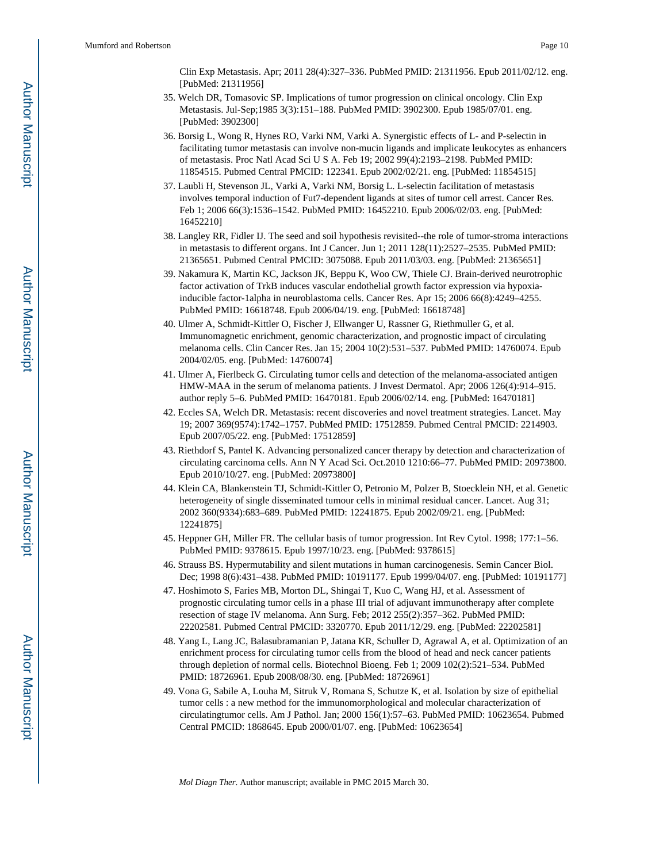Clin Exp Metastasis. Apr; 2011 28(4):327–336. PubMed PMID: 21311956. Epub 2011/02/12. eng. [PubMed: 21311956]

- 35. Welch DR, Tomasovic SP. Implications of tumor progression on clinical oncology. Clin Exp Metastasis. Jul-Sep;1985 3(3):151–188. PubMed PMID: 3902300. Epub 1985/07/01. eng. [PubMed: 3902300]
- 36. Borsig L, Wong R, Hynes RO, Varki NM, Varki A. Synergistic effects of L- and P-selectin in facilitating tumor metastasis can involve non-mucin ligands and implicate leukocytes as enhancers of metastasis. Proc Natl Acad Sci U S A. Feb 19; 2002 99(4):2193–2198. PubMed PMID: 11854515. Pubmed Central PMCID: 122341. Epub 2002/02/21. eng. [PubMed: 11854515]
- 37. Laubli H, Stevenson JL, Varki A, Varki NM, Borsig L. L-selectin facilitation of metastasis involves temporal induction of Fut7-dependent ligands at sites of tumor cell arrest. Cancer Res. Feb 1; 2006 66(3):1536–1542. PubMed PMID: 16452210. Epub 2006/02/03. eng. [PubMed: 16452210]
- 38. Langley RR, Fidler IJ. The seed and soil hypothesis revisited--the role of tumor-stroma interactions in metastasis to different organs. Int J Cancer. Jun 1; 2011 128(11):2527–2535. PubMed PMID: 21365651. Pubmed Central PMCID: 3075088. Epub 2011/03/03. eng. [PubMed: 21365651]
- 39. Nakamura K, Martin KC, Jackson JK, Beppu K, Woo CW, Thiele CJ. Brain-derived neurotrophic factor activation of TrkB induces vascular endothelial growth factor expression via hypoxiainducible factor-1alpha in neuroblastoma cells. Cancer Res. Apr 15; 2006 66(8):4249–4255. PubMed PMID: 16618748. Epub 2006/04/19. eng. [PubMed: 16618748]
- 40. Ulmer A, Schmidt-Kittler O, Fischer J, Ellwanger U, Rassner G, Riethmuller G, et al. Immunomagnetic enrichment, genomic characterization, and prognostic impact of circulating melanoma cells. Clin Cancer Res. Jan 15; 2004 10(2):531–537. PubMed PMID: 14760074. Epub 2004/02/05. eng. [PubMed: 14760074]
- 41. Ulmer A, Fierlbeck G. Circulating tumor cells and detection of the melanoma-associated antigen HMW-MAA in the serum of melanoma patients. J Invest Dermatol. Apr; 2006 126(4):914–915. author reply 5–6. PubMed PMID: 16470181. Epub 2006/02/14. eng. [PubMed: 16470181]
- 42. Eccles SA, Welch DR. Metastasis: recent discoveries and novel treatment strategies. Lancet. May 19; 2007 369(9574):1742–1757. PubMed PMID: 17512859. Pubmed Central PMCID: 2214903. Epub 2007/05/22. eng. [PubMed: 17512859]
- 43. Riethdorf S, Pantel K. Advancing personalized cancer therapy by detection and characterization of circulating carcinoma cells. Ann N Y Acad Sci. Oct.2010 1210:66–77. PubMed PMID: 20973800. Epub 2010/10/27. eng. [PubMed: 20973800]
- 44. Klein CA, Blankenstein TJ, Schmidt-Kittler O, Petronio M, Polzer B, Stoecklein NH, et al. Genetic heterogeneity of single disseminated tumour cells in minimal residual cancer. Lancet. Aug 31; 2002 360(9334):683–689. PubMed PMID: 12241875. Epub 2002/09/21. eng. [PubMed: 12241875]
- 45. Heppner GH, Miller FR. The cellular basis of tumor progression. Int Rev Cytol. 1998; 177:1–56. PubMed PMID: 9378615. Epub 1997/10/23. eng. [PubMed: 9378615]
- 46. Strauss BS. Hypermutability and silent mutations in human carcinogenesis. Semin Cancer Biol. Dec; 1998 8(6):431–438. PubMed PMID: 10191177. Epub 1999/04/07. eng. [PubMed: 10191177]
- 47. Hoshimoto S, Faries MB, Morton DL, Shingai T, Kuo C, Wang HJ, et al. Assessment of prognostic circulating tumor cells in a phase III trial of adjuvant immunotherapy after complete resection of stage IV melanoma. Ann Surg. Feb; 2012 255(2):357–362. PubMed PMID: 22202581. Pubmed Central PMCID: 3320770. Epub 2011/12/29. eng. [PubMed: 22202581]
- 48. Yang L, Lang JC, Balasubramanian P, Jatana KR, Schuller D, Agrawal A, et al. Optimization of an enrichment process for circulating tumor cells from the blood of head and neck cancer patients through depletion of normal cells. Biotechnol Bioeng. Feb 1; 2009 102(2):521–534. PubMed PMID: 18726961. Epub 2008/08/30. eng. [PubMed: 18726961]
- 49. Vona G, Sabile A, Louha M, Sitruk V, Romana S, Schutze K, et al. Isolation by size of epithelial tumor cells : a new method for the immunomorphological and molecular characterization of circulatingtumor cells. Am J Pathol. Jan; 2000 156(1):57–63. PubMed PMID: 10623654. Pubmed Central PMCID: 1868645. Epub 2000/01/07. eng. [PubMed: 10623654]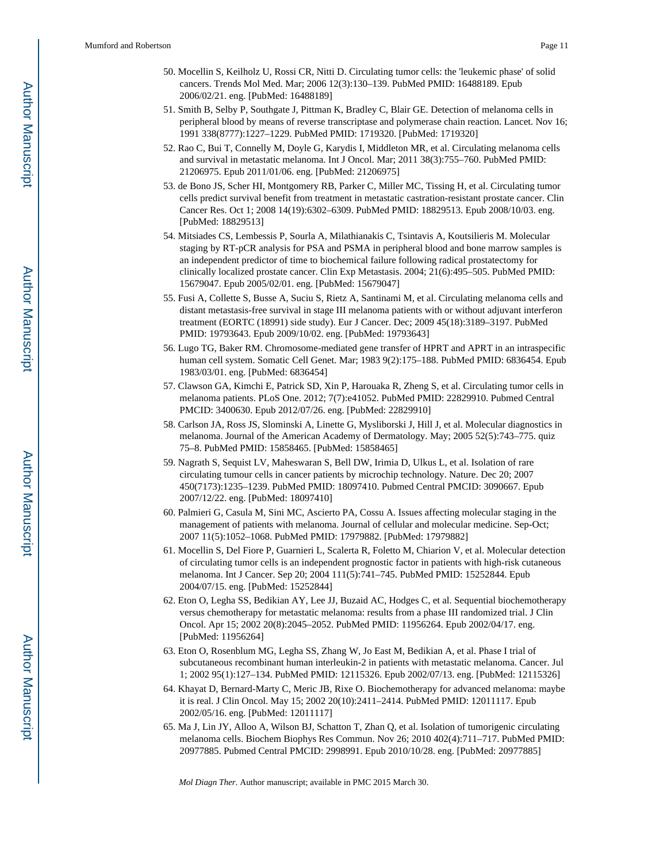- 50. Mocellin S, Keilholz U, Rossi CR, Nitti D. Circulating tumor cells: the 'leukemic phase' of solid cancers. Trends Mol Med. Mar; 2006 12(3):130–139. PubMed PMID: 16488189. Epub 2006/02/21. eng. [PubMed: 16488189]
- 51. Smith B, Selby P, Southgate J, Pittman K, Bradley C, Blair GE. Detection of melanoma cells in peripheral blood by means of reverse transcriptase and polymerase chain reaction. Lancet. Nov 16; 1991 338(8777):1227–1229. PubMed PMID: 1719320. [PubMed: 1719320]
- 52. Rao C, Bui T, Connelly M, Doyle G, Karydis I, Middleton MR, et al. Circulating melanoma cells and survival in metastatic melanoma. Int J Oncol. Mar; 2011 38(3):755–760. PubMed PMID: 21206975. Epub 2011/01/06. eng. [PubMed: 21206975]
- 53. de Bono JS, Scher HI, Montgomery RB, Parker C, Miller MC, Tissing H, et al. Circulating tumor cells predict survival benefit from treatment in metastatic castration-resistant prostate cancer. Clin Cancer Res. Oct 1; 2008 14(19):6302–6309. PubMed PMID: 18829513. Epub 2008/10/03. eng. [PubMed: 18829513]
- 54. Mitsiades CS, Lembessis P, Sourla A, Milathianakis C, Tsintavis A, Koutsilieris M. Molecular staging by RT-pCR analysis for PSA and PSMA in peripheral blood and bone marrow samples is an independent predictor of time to biochemical failure following radical prostatectomy for clinically localized prostate cancer. Clin Exp Metastasis. 2004; 21(6):495–505. PubMed PMID: 15679047. Epub 2005/02/01. eng. [PubMed: 15679047]
- 55. Fusi A, Collette S, Busse A, Suciu S, Rietz A, Santinami M, et al. Circulating melanoma cells and distant metastasis-free survival in stage III melanoma patients with or without adjuvant interferon treatment (EORTC (18991) side study). Eur J Cancer. Dec; 2009 45(18):3189–3197. PubMed PMID: 19793643. Epub 2009/10/02. eng. [PubMed: 19793643]
- 56. Lugo TG, Baker RM. Chromosome-mediated gene transfer of HPRT and APRT in an intraspecific human cell system. Somatic Cell Genet. Mar; 1983 9(2):175–188. PubMed PMID: 6836454. Epub 1983/03/01. eng. [PubMed: 6836454]
- 57. Clawson GA, Kimchi E, Patrick SD, Xin P, Harouaka R, Zheng S, et al. Circulating tumor cells in melanoma patients. PLoS One. 2012; 7(7):e41052. PubMed PMID: 22829910. Pubmed Central PMCID: 3400630. Epub 2012/07/26. eng. [PubMed: 22829910]
- 58. Carlson JA, Ross JS, Slominski A, Linette G, Mysliborski J, Hill J, et al. Molecular diagnostics in melanoma. Journal of the American Academy of Dermatology. May; 2005 52(5):743–775. quiz 75–8. PubMed PMID: 15858465. [PubMed: 15858465]
- 59. Nagrath S, Sequist LV, Maheswaran S, Bell DW, Irimia D, Ulkus L, et al. Isolation of rare circulating tumour cells in cancer patients by microchip technology. Nature. Dec 20; 2007 450(7173):1235–1239. PubMed PMID: 18097410. Pubmed Central PMCID: 3090667. Epub 2007/12/22. eng. [PubMed: 18097410]
- 60. Palmieri G, Casula M, Sini MC, Ascierto PA, Cossu A. Issues affecting molecular staging in the management of patients with melanoma. Journal of cellular and molecular medicine. Sep-Oct; 2007 11(5):1052–1068. PubMed PMID: 17979882. [PubMed: 17979882]
- 61. Mocellin S, Del Fiore P, Guarnieri L, Scalerta R, Foletto M, Chiarion V, et al. Molecular detection of circulating tumor cells is an independent prognostic factor in patients with high-risk cutaneous melanoma. Int J Cancer. Sep 20; 2004 111(5):741–745. PubMed PMID: 15252844. Epub 2004/07/15. eng. [PubMed: 15252844]
- 62. Eton O, Legha SS, Bedikian AY, Lee JJ, Buzaid AC, Hodges C, et al. Sequential biochemotherapy versus chemotherapy for metastatic melanoma: results from a phase III randomized trial. J Clin Oncol. Apr 15; 2002 20(8):2045–2052. PubMed PMID: 11956264. Epub 2002/04/17. eng. [PubMed: 11956264]
- 63. Eton O, Rosenblum MG, Legha SS, Zhang W, Jo East M, Bedikian A, et al. Phase I trial of subcutaneous recombinant human interleukin-2 in patients with metastatic melanoma. Cancer. Jul 1; 2002 95(1):127–134. PubMed PMID: 12115326. Epub 2002/07/13. eng. [PubMed: 12115326]
- 64. Khayat D, Bernard-Marty C, Meric JB, Rixe O. Biochemotherapy for advanced melanoma: maybe it is real. J Clin Oncol. May 15; 2002 20(10):2411–2414. PubMed PMID: 12011117. Epub 2002/05/16. eng. [PubMed: 12011117]
- 65. Ma J, Lin JY, Alloo A, Wilson BJ, Schatton T, Zhan Q, et al. Isolation of tumorigenic circulating melanoma cells. Biochem Biophys Res Commun. Nov 26; 2010 402(4):711–717. PubMed PMID: 20977885. Pubmed Central PMCID: 2998991. Epub 2010/10/28. eng. [PubMed: 20977885]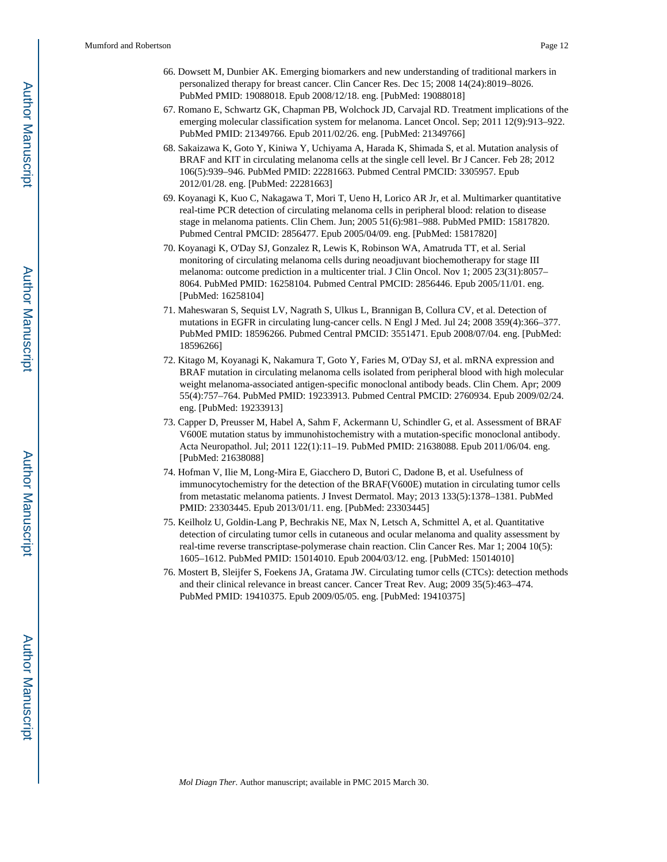- 66. Dowsett M, Dunbier AK. Emerging biomarkers and new understanding of traditional markers in personalized therapy for breast cancer. Clin Cancer Res. Dec 15; 2008 14(24):8019–8026. PubMed PMID: 19088018. Epub 2008/12/18. eng. [PubMed: 19088018]
- 67. Romano E, Schwartz GK, Chapman PB, Wolchock JD, Carvajal RD. Treatment implications of the emerging molecular classification system for melanoma. Lancet Oncol. Sep; 2011 12(9):913–922. PubMed PMID: 21349766. Epub 2011/02/26. eng. [PubMed: 21349766]
- 68. Sakaizawa K, Goto Y, Kiniwa Y, Uchiyama A, Harada K, Shimada S, et al. Mutation analysis of BRAF and KIT in circulating melanoma cells at the single cell level. Br J Cancer. Feb 28; 2012 106(5):939–946. PubMed PMID: 22281663. Pubmed Central PMCID: 3305957. Epub 2012/01/28. eng. [PubMed: 22281663]
- 69. Koyanagi K, Kuo C, Nakagawa T, Mori T, Ueno H, Lorico AR Jr, et al. Multimarker quantitative real-time PCR detection of circulating melanoma cells in peripheral blood: relation to disease stage in melanoma patients. Clin Chem. Jun; 2005 51(6):981–988. PubMed PMID: 15817820. Pubmed Central PMCID: 2856477. Epub 2005/04/09. eng. [PubMed: 15817820]
- 70. Koyanagi K, O'Day SJ, Gonzalez R, Lewis K, Robinson WA, Amatruda TT, et al. Serial monitoring of circulating melanoma cells during neoadjuvant biochemotherapy for stage III melanoma: outcome prediction in a multicenter trial. J Clin Oncol. Nov 1; 2005 23(31):8057– 8064. PubMed PMID: 16258104. Pubmed Central PMCID: 2856446. Epub 2005/11/01. eng. [PubMed: 16258104]
- 71. Maheswaran S, Sequist LV, Nagrath S, Ulkus L, Brannigan B, Collura CV, et al. Detection of mutations in EGFR in circulating lung-cancer cells. N Engl J Med. Jul 24; 2008 359(4):366–377. PubMed PMID: 18596266. Pubmed Central PMCID: 3551471. Epub 2008/07/04. eng. [PubMed: 18596266]
- 72. Kitago M, Koyanagi K, Nakamura T, Goto Y, Faries M, O'Day SJ, et al. mRNA expression and BRAF mutation in circulating melanoma cells isolated from peripheral blood with high molecular weight melanoma-associated antigen-specific monoclonal antibody beads. Clin Chem. Apr; 2009 55(4):757–764. PubMed PMID: 19233913. Pubmed Central PMCID: 2760934. Epub 2009/02/24. eng. [PubMed: 19233913]
- 73. Capper D, Preusser M, Habel A, Sahm F, Ackermann U, Schindler G, et al. Assessment of BRAF V600E mutation status by immunohistochemistry with a mutation-specific monoclonal antibody. Acta Neuropathol. Jul; 2011 122(1):11–19. PubMed PMID: 21638088. Epub 2011/06/04. eng. [PubMed: 21638088]
- 74. Hofman V, Ilie M, Long-Mira E, Giacchero D, Butori C, Dadone B, et al. Usefulness of immunocytochemistry for the detection of the BRAF(V600E) mutation in circulating tumor cells from metastatic melanoma patients. J Invest Dermatol. May; 2013 133(5):1378–1381. PubMed PMID: 23303445. Epub 2013/01/11. eng. [PubMed: 23303445]
- 75. Keilholz U, Goldin-Lang P, Bechrakis NE, Max N, Letsch A, Schmittel A, et al. Quantitative detection of circulating tumor cells in cutaneous and ocular melanoma and quality assessment by real-time reverse transcriptase-polymerase chain reaction. Clin Cancer Res. Mar 1; 2004 10(5): 1605–1612. PubMed PMID: 15014010. Epub 2004/03/12. eng. [PubMed: 15014010]
- 76. Mostert B, Sleijfer S, Foekens JA, Gratama JW. Circulating tumor cells (CTCs): detection methods and their clinical relevance in breast cancer. Cancer Treat Rev. Aug; 2009 35(5):463–474. PubMed PMID: 19410375. Epub 2009/05/05. eng. [PubMed: 19410375]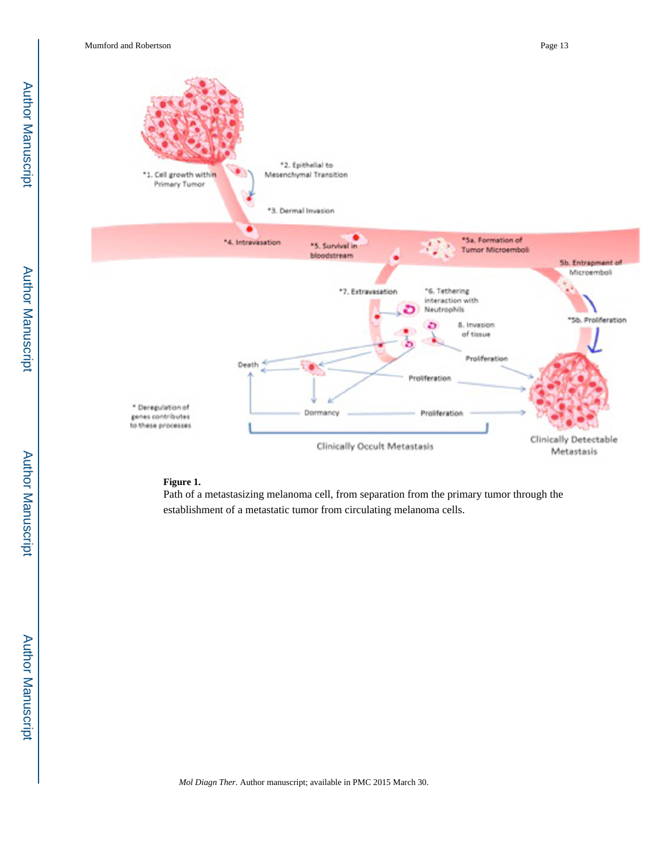

# **Figure 1.**

Path of a metastasizing melanoma cell, from separation from the primary tumor through the establishment of a metastatic tumor from circulating melanoma cells.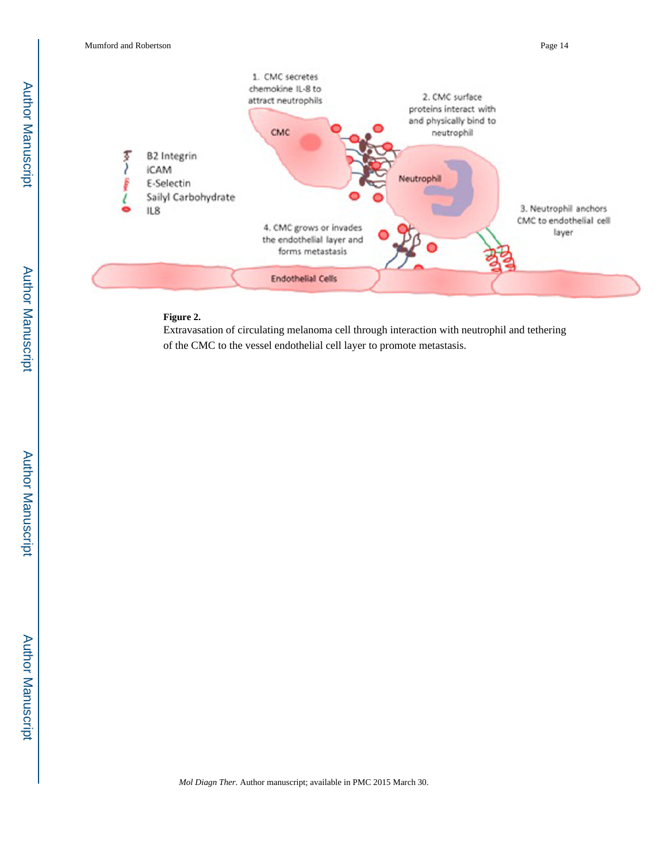

#### **Figure 2.**

Extravasation of circulating melanoma cell through interaction with neutrophil and tethering of the CMC to the vessel endothelial cell layer to promote metastasis.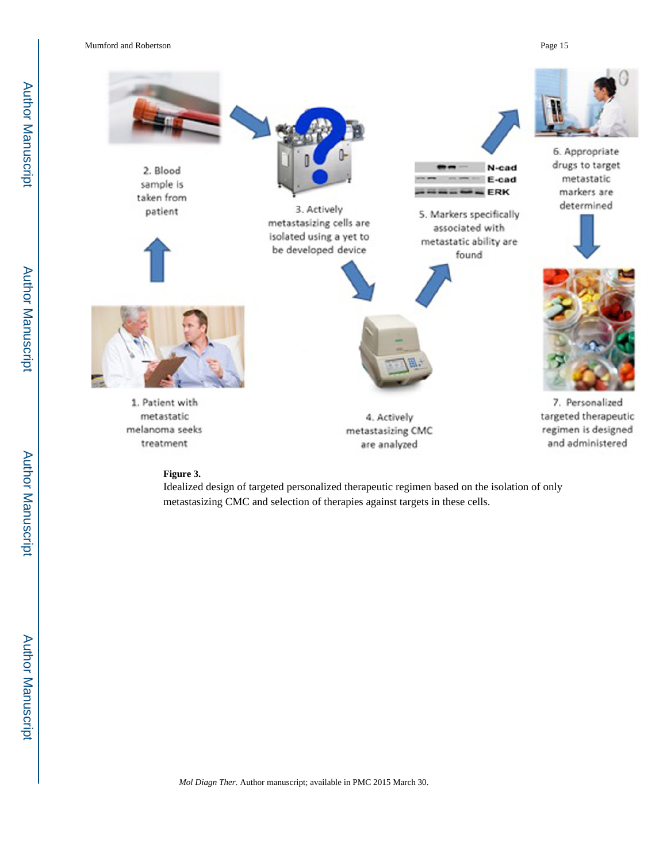

#### **Figure 3.**

Idealized design of targeted personalized therapeutic regimen based on the isolation of only metastasizing CMC and selection of therapies against targets in these cells.